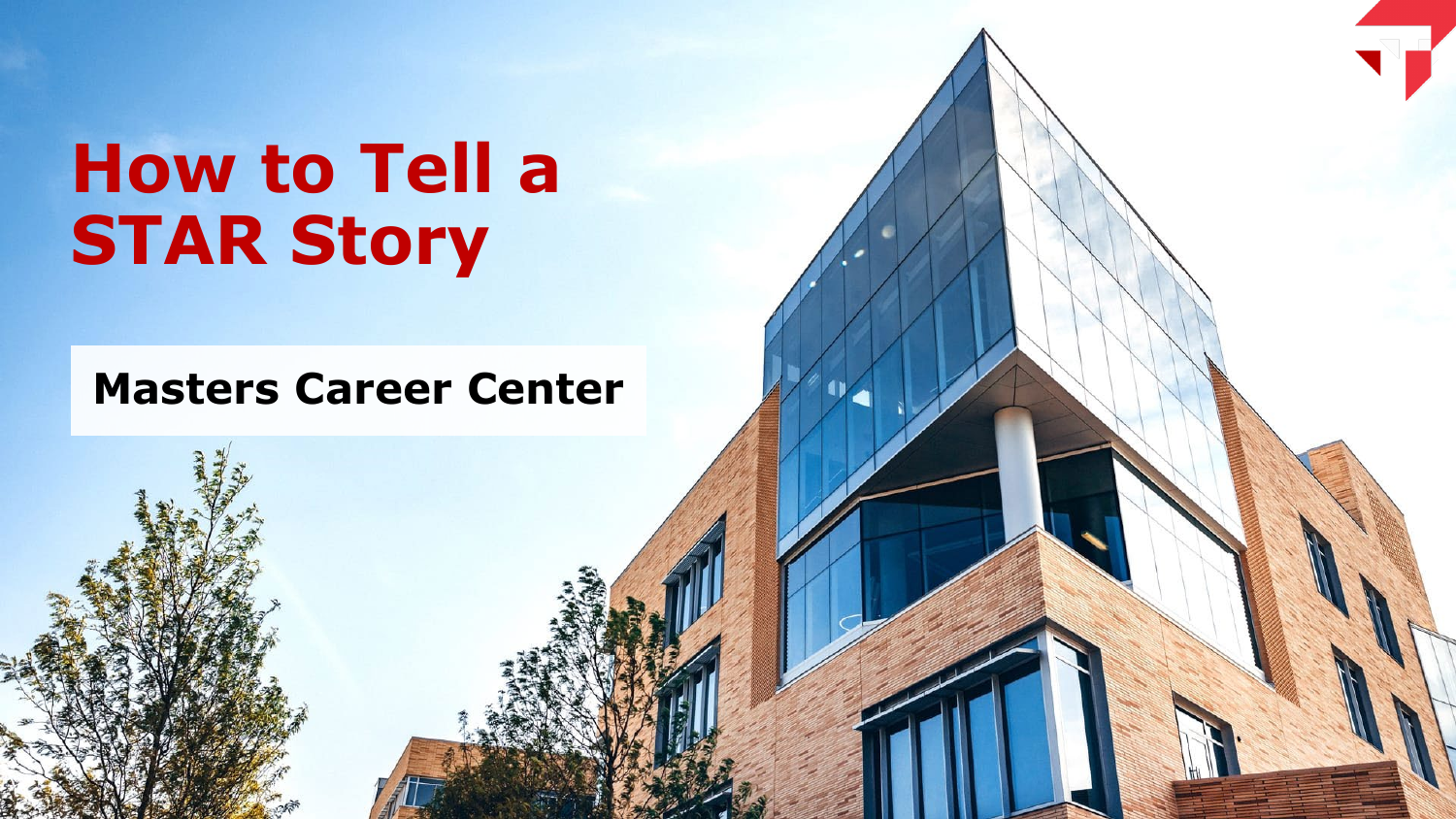# **How to Tell a STAR Story**

### **Masters Career Center**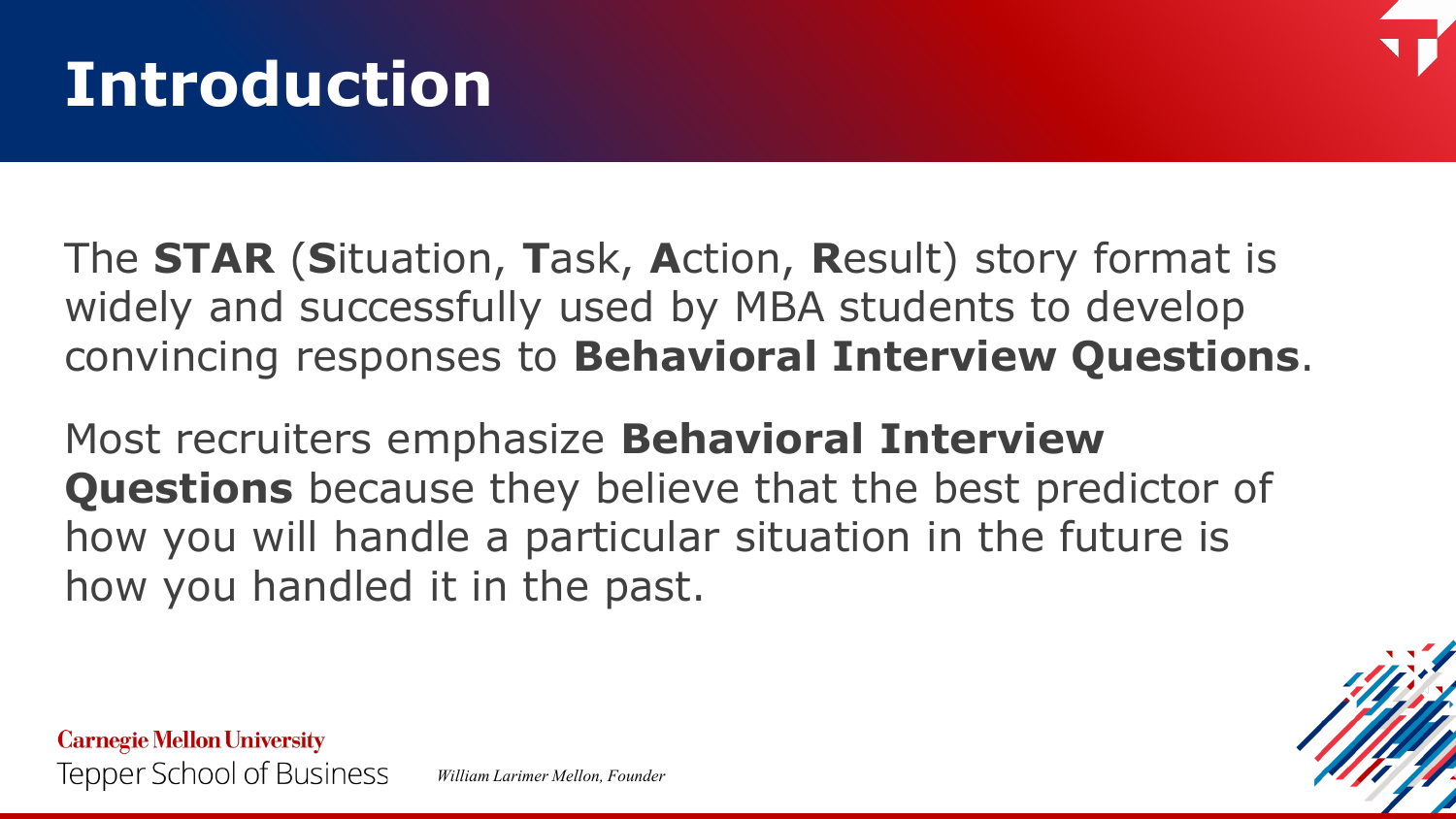### **Introduction**



The **STAR** (**S**ituation, **T**ask, **A**ction, **R**esult) story format is widely and successfully used by MBA students to develop convincing responses to **Behavioral Interview Questions**.

Most recruiters emphasize **Behavioral Interview Questions** because they believe that the best predictor of how you will handle a particular situation in the future is how you handled it in the past.

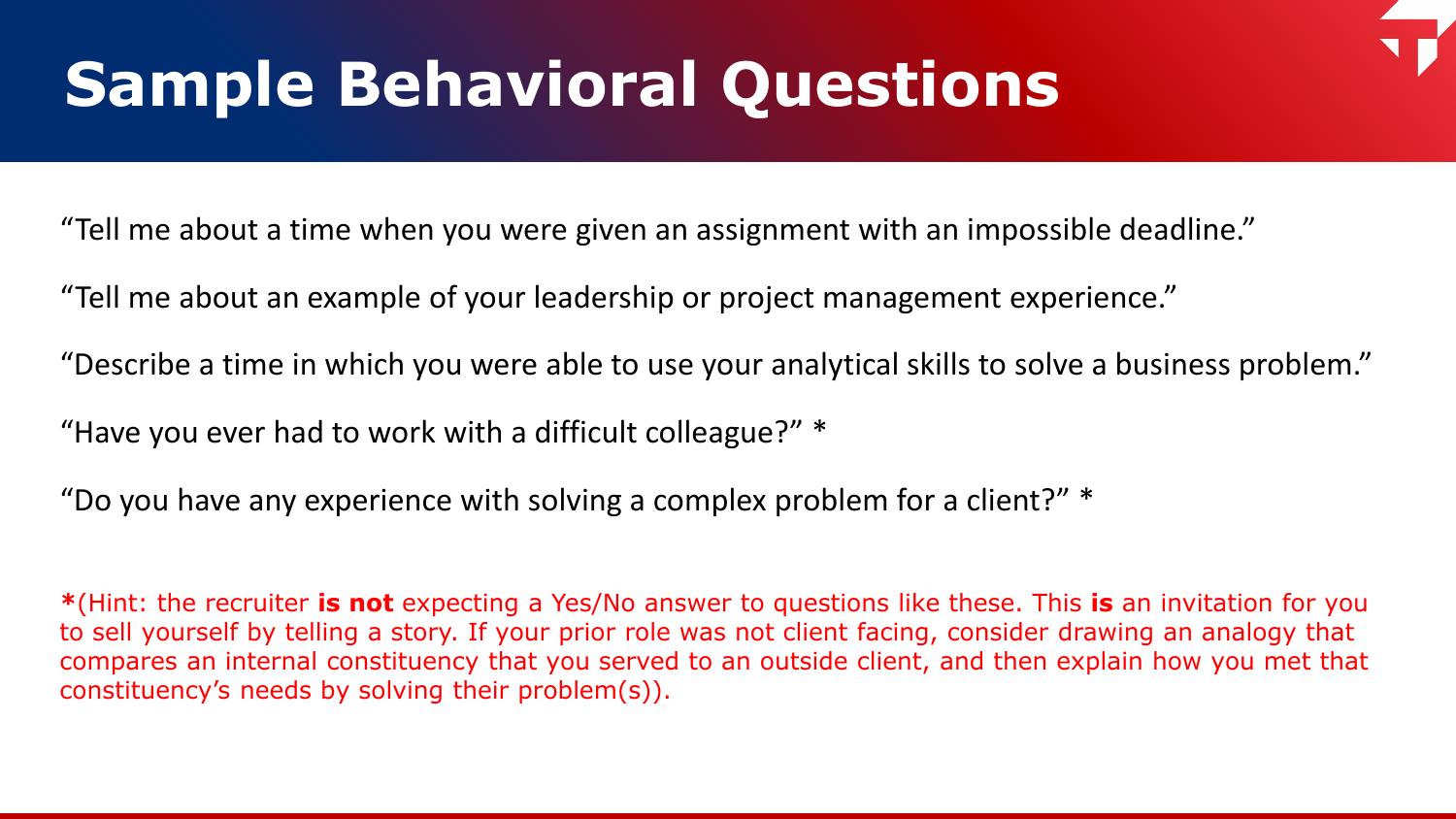## **Sample Behavioral Questions**

"Tell me about a time when you were given an assignment with an impossible deadline."

"Tell me about an example of your leadership or project management experience."

"Describe a time in which you were able to use your analytical skills to solve a business problem."

"Have you ever had to work with a difficult colleague?" \*

"Do you have any experience with solving a complex problem for a client?"  $*$ 

**\***(Hint: the recruiter **is not** expecting a Yes/No answer to questions like these. This **is** an invitation for you to sell yourself by telling a story. If your prior role was not client facing, consider drawing an analogy that compares an internal constituency that you served to an outside client, and then explain how you met that constituency's needs by solving their problem(s)).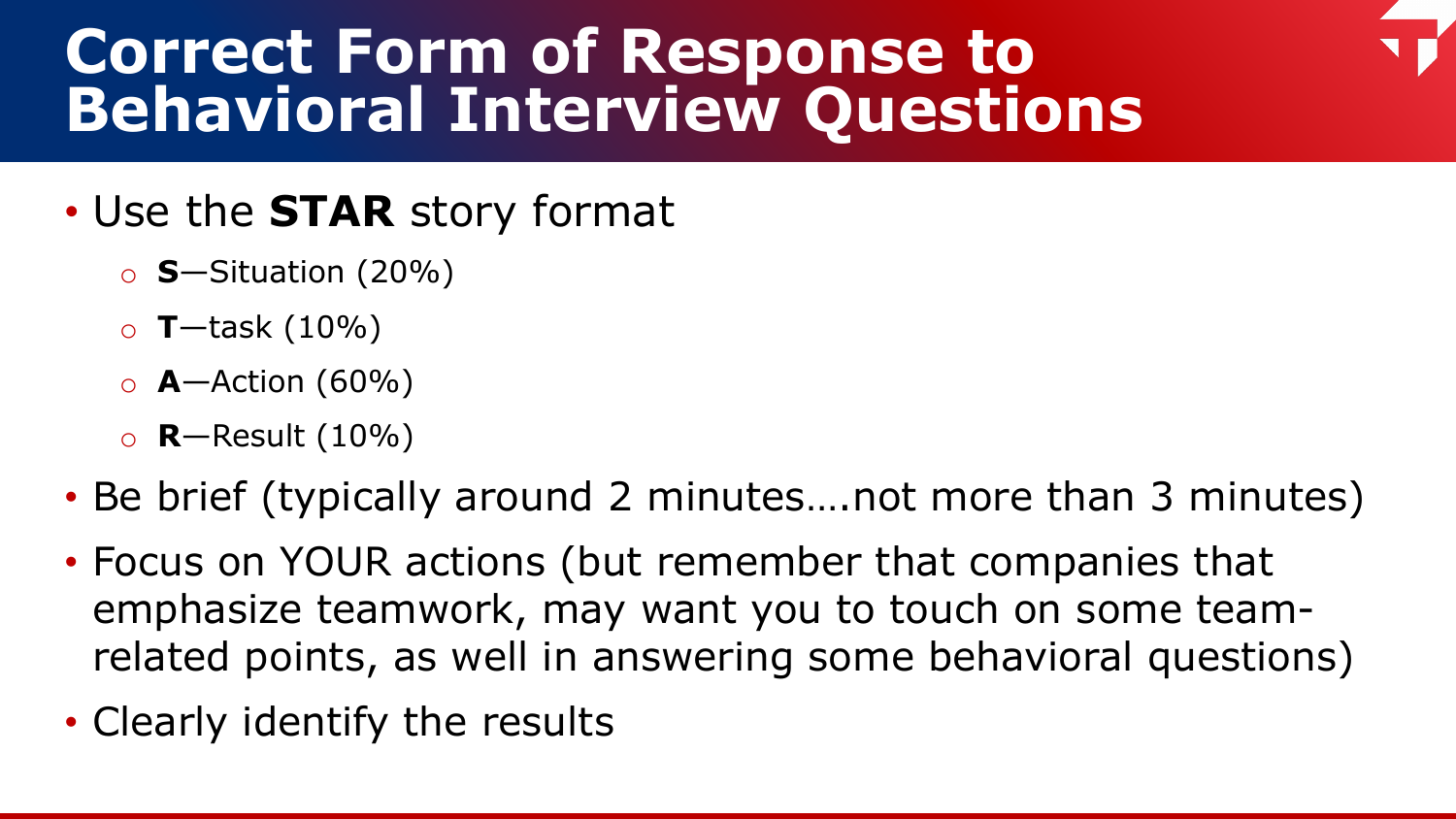### **Correct Form of Response to Behavioral Interview Questions**

### • Use the **STAR** story format

- o **S**—Situation (20%)
- o **T**—task (10%)
- o **A**—Action (60%)
- o **R**—Result (10%)
- Be brief (typically around 2 minutes... not more than 3 minutes)
- Focus on YOUR actions (but remember that companies that emphasize teamwork, may want you to touch on some teamrelated points, as well in answering some behavioral questions)
- Clearly identify the results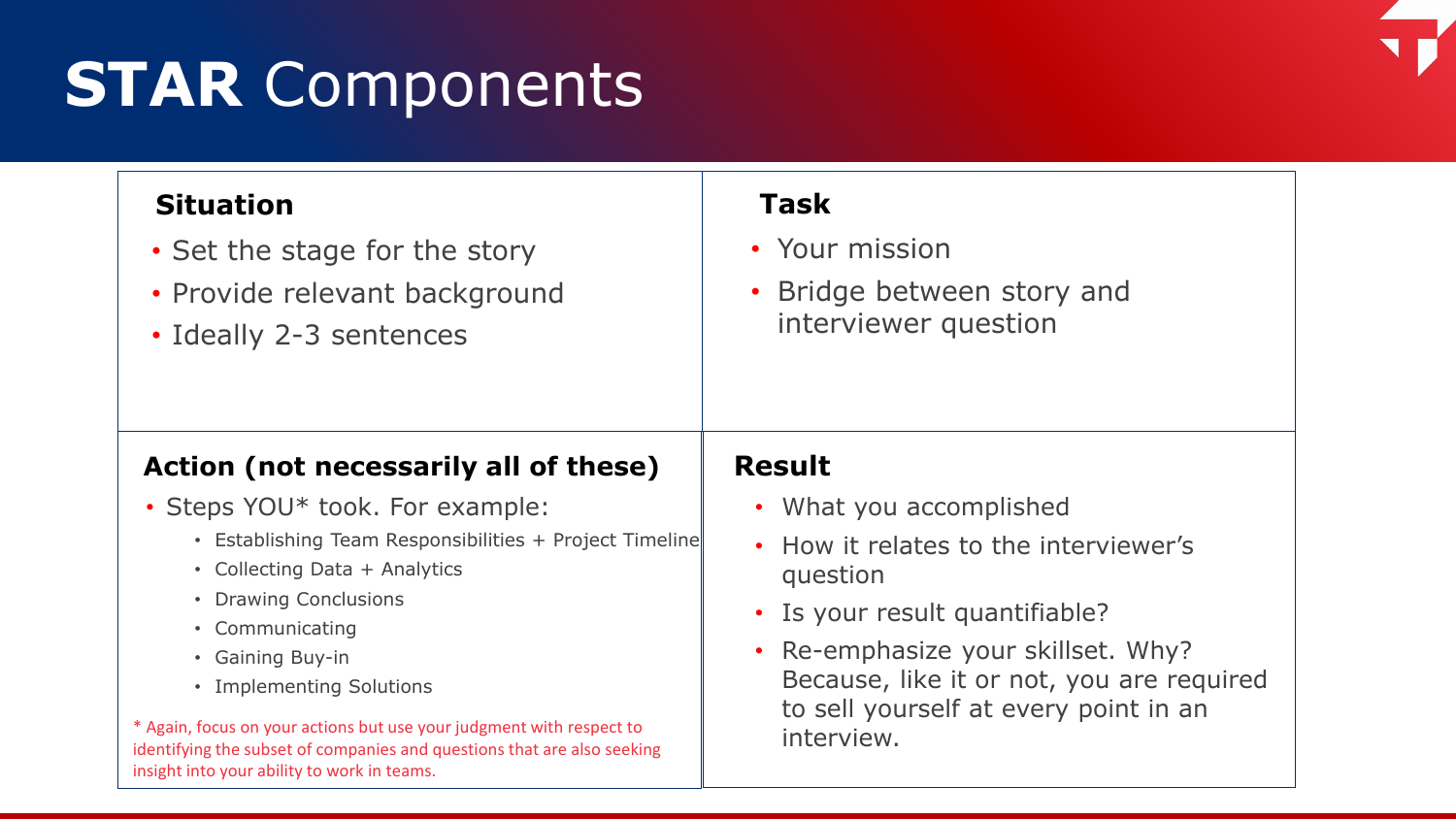### **STAR** Components

#### **Situation**

- Set the stage for the story
- Provide relevant background
- Ideally 2-3 sentences

#### **Task**

- Your mission
- Bridge between story and interviewer question

#### **Action (not necessarily all of these)**

- Steps YOU\* took. For example:
	- Establishing Team Responsibilities + Project Timeline
	- Collecting Data + Analytics
	- Drawing Conclusions
	- Communicating
	- Gaining Buy-in
	- Implementing Solutions

\* Again, focus on your actions but use your judgment with respect to identifying the subset of companies and questions that are also seeking insight into your ability to work in teams.

#### **Result**

- What you accomplished
- How it relates to the interviewer's question
- Is your result quantifiable?
- Re-emphasize your skillset. Why? Because, like it or not, you are required to sell yourself at every point in an interview.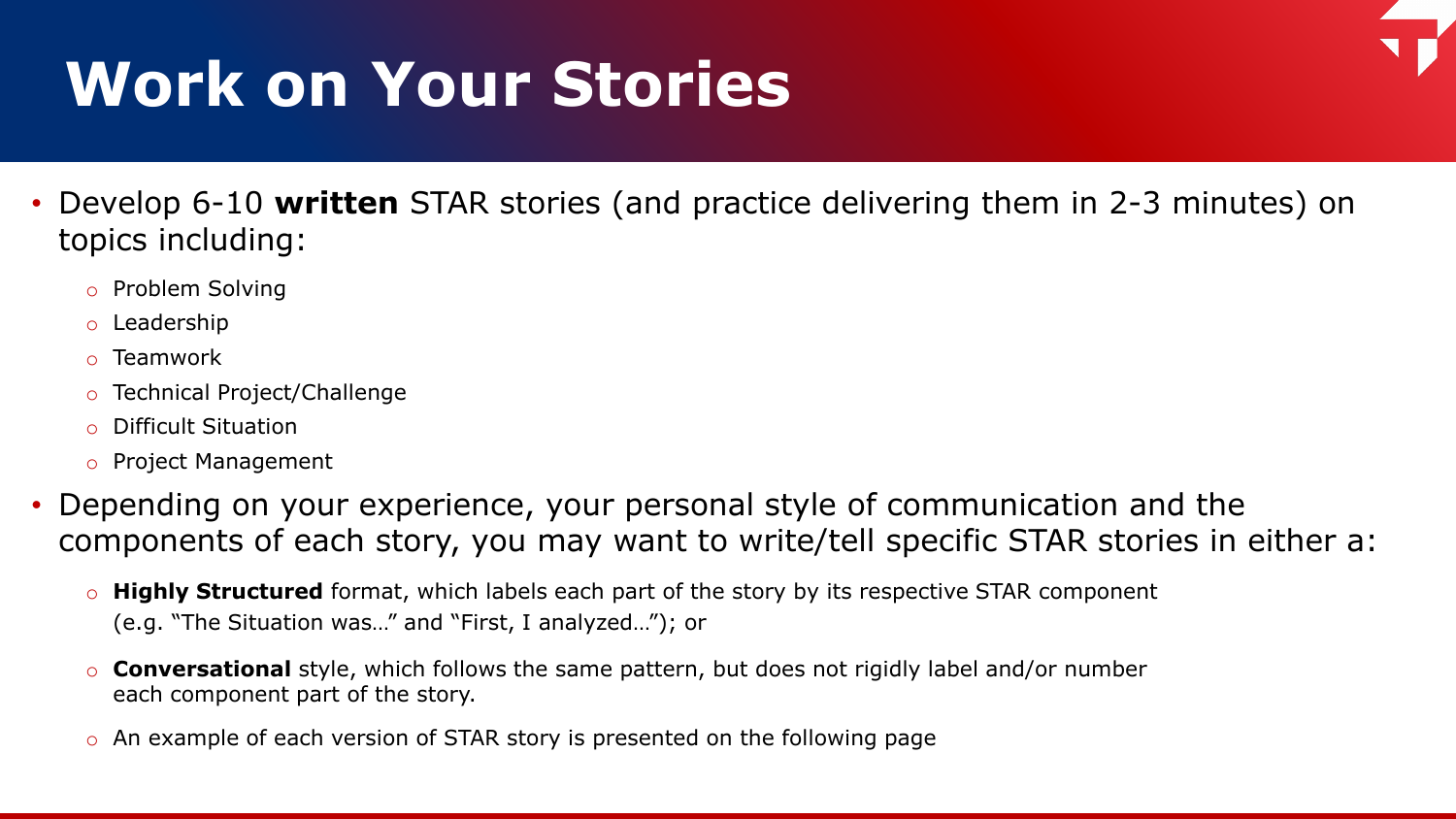## **Work on Your Stories**

- Develop 6-10 **written** STAR stories (and practice delivering them in 2-3 minutes) on topics including:
	- o Problem Solving
	- o Leadership
	- o Teamwork
	- o Technical Project/Challenge
	- o Difficult Situation
	- o Project Management
- Depending on your experience, your personal style of communication and the components of each story, you may want to write/tell specific STAR stories in either a:
	- o **Highly Structured** format, which labels each part of the story by its respective STAR component (e.g. "The Situation was…" and "First, I analyzed…"); or
	- o **Conversational** style, which follows the same pattern, but does not rigidly label and/or number each component part of the story.
	- o An example of each version of STAR story is presented on the following page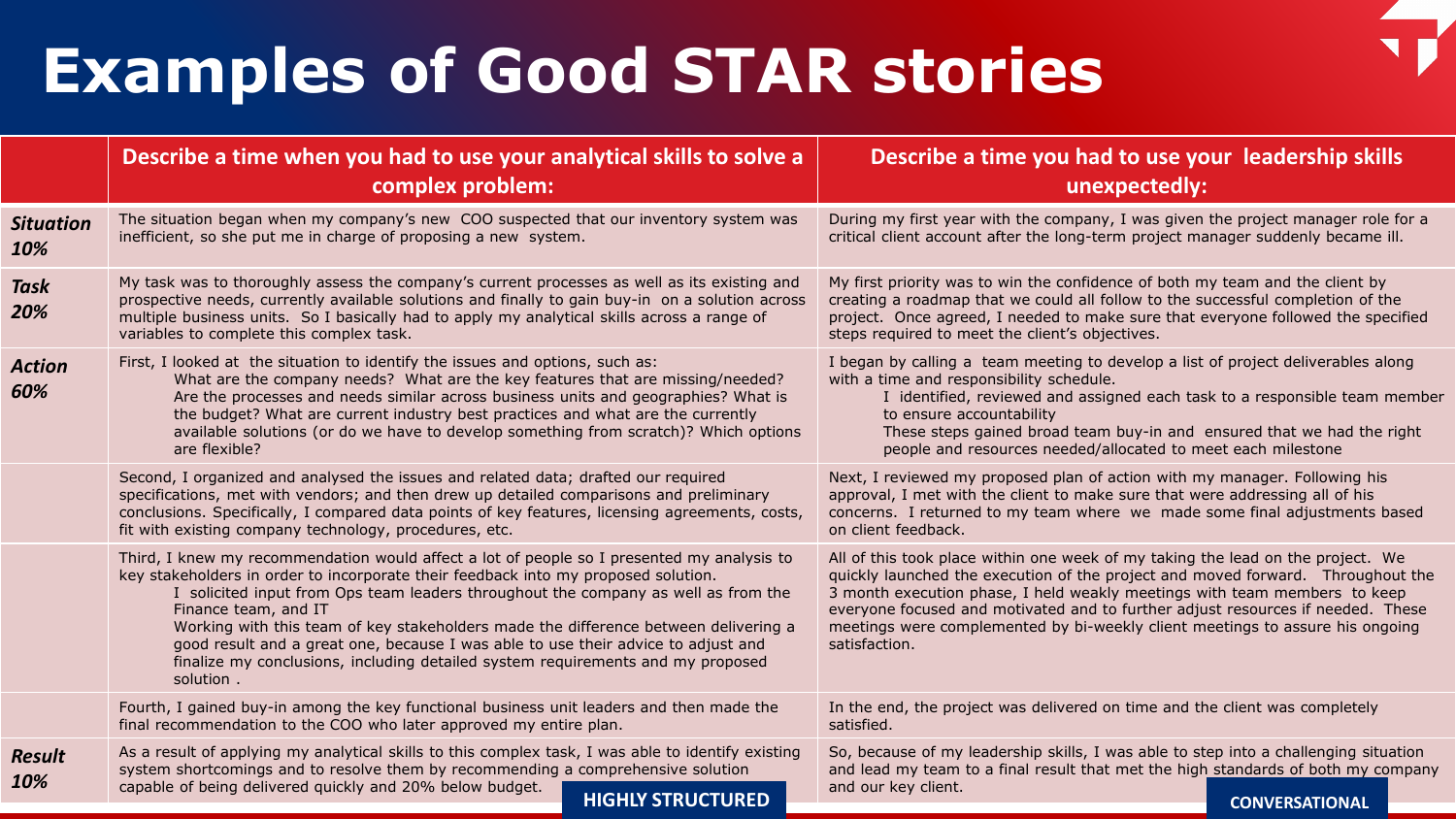## **Examples of Good STAR stories**

|                         | Describe a time when you had to use your analytical skills to solve a<br>complex problem:                                                                                                                                                                                                                                                                                                                                                                                                                                                                                  | Describe a time you had to use your leadership skills<br>unexpectedly:                                                                                                                                                                                                                                                                                                                                                               |  |
|-------------------------|----------------------------------------------------------------------------------------------------------------------------------------------------------------------------------------------------------------------------------------------------------------------------------------------------------------------------------------------------------------------------------------------------------------------------------------------------------------------------------------------------------------------------------------------------------------------------|--------------------------------------------------------------------------------------------------------------------------------------------------------------------------------------------------------------------------------------------------------------------------------------------------------------------------------------------------------------------------------------------------------------------------------------|--|
| <b>Situation</b><br>10% | The situation began when my company's new COO suspected that our inventory system was<br>inefficient, so she put me in charge of proposing a new system.                                                                                                                                                                                                                                                                                                                                                                                                                   | During my first year with the company, I was given the project manager role for a<br>critical client account after the long-term project manager suddenly became ill.                                                                                                                                                                                                                                                                |  |
| <b>Task</b><br>20%      | My task was to thoroughly assess the company's current processes as well as its existing and<br>prospective needs, currently available solutions and finally to gain buy-in on a solution across<br>multiple business units. So I basically had to apply my analytical skills across a range of<br>variables to complete this complex task.                                                                                                                                                                                                                                | My first priority was to win the confidence of both my team and the client by<br>creating a roadmap that we could all follow to the successful completion of the<br>project. Once agreed, I needed to make sure that everyone followed the specified<br>steps required to meet the client's objectives.                                                                                                                              |  |
| <b>Action</b><br>60%    | First, I looked at the situation to identify the issues and options, such as:<br>What are the company needs? What are the key features that are missing/needed?<br>Are the processes and needs similar across business units and geographies? What is<br>the budget? What are current industry best practices and what are the currently<br>available solutions (or do we have to develop something from scratch)? Which options<br>are flexible?                                                                                                                          | I began by calling a team meeting to develop a list of project deliverables along<br>with a time and responsibility schedule.<br>I identified, reviewed and assigned each task to a responsible team member<br>to ensure accountability<br>These steps gained broad team buy-in and ensured that we had the right<br>people and resources needed/allocated to meet each milestone                                                    |  |
|                         | Second, I organized and analysed the issues and related data; drafted our required<br>specifications, met with vendors; and then drew up detailed comparisons and preliminary<br>conclusions. Specifically, I compared data points of key features, licensing agreements, costs,<br>fit with existing company technology, procedures, etc.                                                                                                                                                                                                                                 | Next, I reviewed my proposed plan of action with my manager. Following his<br>approval, I met with the client to make sure that were addressing all of his<br>concerns. I returned to my team where we made some final adjustments based<br>on client feedback.                                                                                                                                                                      |  |
|                         | Third, I knew my recommendation would affect a lot of people so I presented my analysis to<br>key stakeholders in order to incorporate their feedback into my proposed solution.<br>I solicited input from Ops team leaders throughout the company as well as from the<br>Finance team, and IT<br>Working with this team of key stakeholders made the difference between delivering a<br>good result and a great one, because I was able to use their advice to adjust and<br>finalize my conclusions, including detailed system requirements and my proposed<br>solution. | All of this took place within one week of my taking the lead on the project. We<br>quickly launched the execution of the project and moved forward. Throughout the<br>3 month execution phase, I held weakly meetings with team members to keep<br>everyone focused and motivated and to further adjust resources if needed. These<br>meetings were complemented by bi-weekly client meetings to assure his ongoing<br>satisfaction. |  |
|                         | Fourth, I gained buy-in among the key functional business unit leaders and then made the<br>final recommendation to the COO who later approved my entire plan.                                                                                                                                                                                                                                                                                                                                                                                                             | In the end, the project was delivered on time and the client was completely<br>satisfied.                                                                                                                                                                                                                                                                                                                                            |  |
| <b>Result</b><br>10%    | As a result of applying my analytical skills to this complex task, I was able to identify existing<br>system shortcomings and to resolve them by recommending a comprehensive solution<br>capable of being delivered quickly and 20% below budget.<br><b>HIGHLY STRUCTURED</b>                                                                                                                                                                                                                                                                                             | So, because of my leadership skills, I was able to step into a challenging situation<br>and lead my team to a final result that met the high standards of both my company<br>and our key client.<br><b>CONVERSATIONAL</b>                                                                                                                                                                                                            |  |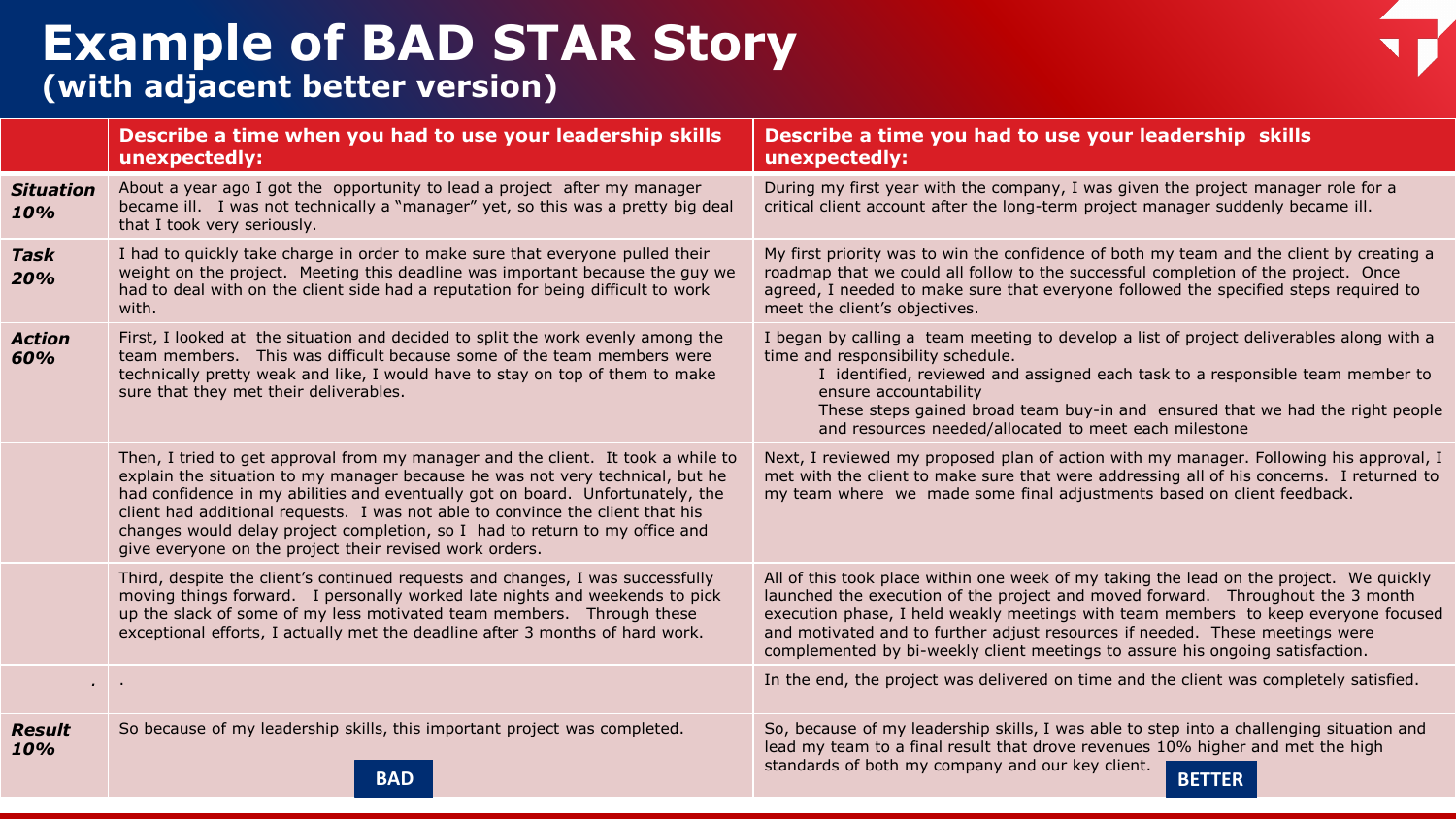### **Example of BAD STAR Story (with adjacent better version)**

|                         | Describe a time when you had to use your leadership skills<br>unexpectedly:                                                                                                                                                                                                                                                                                                                                                                                                     | Describe a time you had to use your leadership skills<br>unexpectedly:                                                                                                                                                                                                                                                                                                                                                            |
|-------------------------|---------------------------------------------------------------------------------------------------------------------------------------------------------------------------------------------------------------------------------------------------------------------------------------------------------------------------------------------------------------------------------------------------------------------------------------------------------------------------------|-----------------------------------------------------------------------------------------------------------------------------------------------------------------------------------------------------------------------------------------------------------------------------------------------------------------------------------------------------------------------------------------------------------------------------------|
| <b>Situation</b><br>10% | About a year ago I got the opportunity to lead a project after my manager<br>became ill. I was not technically a "manager" yet, so this was a pretty big deal<br>that I took very seriously.                                                                                                                                                                                                                                                                                    | During my first year with the company, I was given the project manager role for a<br>critical client account after the long-term project manager suddenly became ill.                                                                                                                                                                                                                                                             |
| <b>Task</b><br>20%      | I had to quickly take charge in order to make sure that everyone pulled their<br>weight on the project. Meeting this deadline was important because the guy we<br>had to deal with on the client side had a reputation for being difficult to work<br>with.                                                                                                                                                                                                                     | My first priority was to win the confidence of both my team and the client by creating a<br>roadmap that we could all follow to the successful completion of the project. Once<br>agreed, I needed to make sure that everyone followed the specified steps required to<br>meet the client's objectives.                                                                                                                           |
| <b>Action</b><br>60%    | First, I looked at the situation and decided to split the work evenly among the<br>team members. This was difficult because some of the team members were<br>technically pretty weak and like, I would have to stay on top of them to make<br>sure that they met their deliverables.                                                                                                                                                                                            | I began by calling a team meeting to develop a list of project deliverables along with a<br>time and responsibility schedule.<br>I identified, reviewed and assigned each task to a responsible team member to<br>ensure accountability<br>These steps gained broad team buy-in and ensured that we had the right people<br>and resources needed/allocated to meet each milestone                                                 |
|                         | Then, I tried to get approval from my manager and the client. It took a while to<br>explain the situation to my manager because he was not very technical, but he<br>had confidence in my abilities and eventually got on board. Unfortunately, the<br>client had additional requests. I was not able to convince the client that his<br>changes would delay project completion, so I had to return to my office and<br>give everyone on the project their revised work orders. | Next, I reviewed my proposed plan of action with my manager. Following his approval, I<br>met with the client to make sure that were addressing all of his concerns. I returned to<br>my team where we made some final adjustments based on client feedback.                                                                                                                                                                      |
|                         | Third, despite the client's continued requests and changes, I was successfully<br>moving things forward. I personally worked late nights and weekends to pick<br>up the slack of some of my less motivated team members.  Through these<br>exceptional efforts, I actually met the deadline after 3 months of hard work.                                                                                                                                                        | All of this took place within one week of my taking the lead on the project. We quickly<br>launched the execution of the project and moved forward. Throughout the 3 month<br>execution phase, I held weakly meetings with team members to keep everyone focused<br>and motivated and to further adjust resources if needed. These meetings were<br>complemented by bi-weekly client meetings to assure his ongoing satisfaction. |
|                         |                                                                                                                                                                                                                                                                                                                                                                                                                                                                                 | In the end, the project was delivered on time and the client was completely satisfied.                                                                                                                                                                                                                                                                                                                                            |
| <b>Result</b><br>10%    | So because of my leadership skills, this important project was completed.<br><b>BAD</b>                                                                                                                                                                                                                                                                                                                                                                                         | So, because of my leadership skills, I was able to step into a challenging situation and<br>lead my team to a final result that drove revenues 10% higher and met the high<br>standards of both my company and our key client.<br><b>BETTER</b>                                                                                                                                                                                   |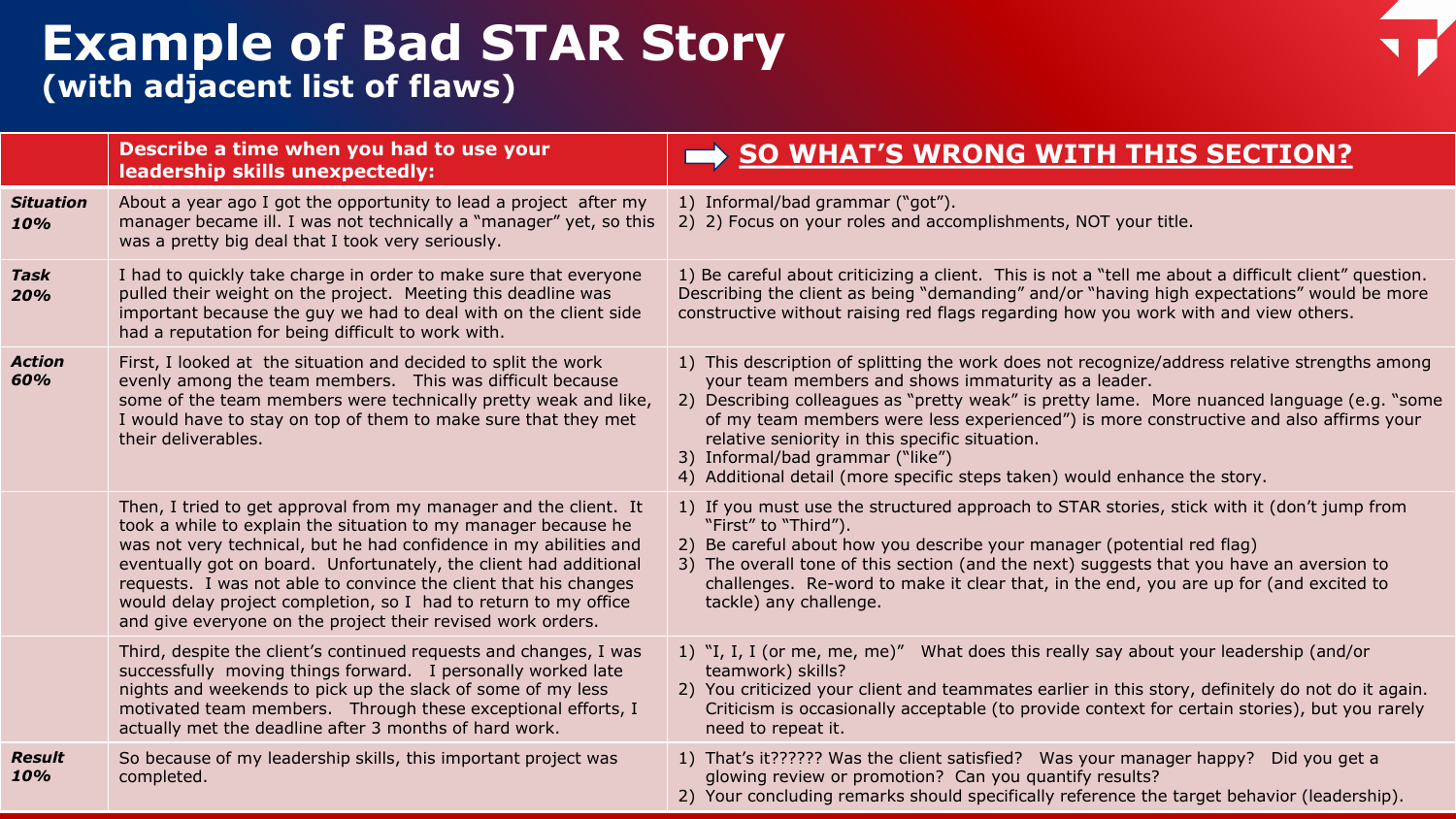### **Example of Bad STAR Story (with adjacent list of flaws)**

|                         | Describe a time when you had to use your<br>leadership skills unexpectedly:                                                                                                                                                                                                                                                                                                                                                                                                        | SO WHAT'S WRONG WITH THIS SECTION?                                                                                                                                                                                                                                                                                                                                                                                                                                                                              |
|-------------------------|------------------------------------------------------------------------------------------------------------------------------------------------------------------------------------------------------------------------------------------------------------------------------------------------------------------------------------------------------------------------------------------------------------------------------------------------------------------------------------|-----------------------------------------------------------------------------------------------------------------------------------------------------------------------------------------------------------------------------------------------------------------------------------------------------------------------------------------------------------------------------------------------------------------------------------------------------------------------------------------------------------------|
| <b>Situation</b><br>10% | About a year ago I got the opportunity to lead a project after my<br>manager became ill. I was not technically a "manager" yet, so this<br>was a pretty big deal that I took very seriously.                                                                                                                                                                                                                                                                                       | 1) Informal/bad grammar ("got").<br>2) 2) Focus on your roles and accomplishments, NOT your title.                                                                                                                                                                                                                                                                                                                                                                                                              |
| <b>Task</b><br>20%      | I had to quickly take charge in order to make sure that everyone<br>pulled their weight on the project. Meeting this deadline was<br>important because the guy we had to deal with on the client side<br>had a reputation for being difficult to work with.                                                                                                                                                                                                                        | 1) Be careful about criticizing a client. This is not a "tell me about a difficult client" question.<br>Describing the client as being "demanding" and/or "having high expectations" would be more<br>constructive without raising red flags regarding how you work with and view others.                                                                                                                                                                                                                       |
| <b>Action</b><br>60%    | First, I looked at the situation and decided to split the work<br>evenly among the team members. This was difficult because<br>some of the team members were technically pretty weak and like,<br>I would have to stay on top of them to make sure that they met<br>their deliverables.                                                                                                                                                                                            | 1) This description of splitting the work does not recognize/address relative strengths among<br>your team members and shows immaturity as a leader.<br>2) Describing colleagues as "pretty weak" is pretty lame. More nuanced language (e.g. "some<br>of my team members were less experienced") is more constructive and also affirms your<br>relative seniority in this specific situation.<br>3) Informal/bad grammar ("like")<br>4) Additional detail (more specific steps taken) would enhance the story. |
|                         | Then, I tried to get approval from my manager and the client. It<br>took a while to explain the situation to my manager because he<br>was not very technical, but he had confidence in my abilities and<br>eventually got on board. Unfortunately, the client had additional<br>requests. I was not able to convince the client that his changes<br>would delay project completion, so I had to return to my office<br>and give everyone on the project their revised work orders. | 1) If you must use the structured approach to STAR stories, stick with it (don't jump from<br>"First" to "Third").<br>2) Be careful about how you describe your manager (potential red flag)<br>3) The overall tone of this section (and the next) suggests that you have an aversion to<br>challenges. Re-word to make it clear that, in the end, you are up for (and excited to<br>tackle) any challenge.                                                                                                     |
|                         | Third, despite the client's continued requests and changes, I was<br>successfully moving things forward. I personally worked late<br>nights and weekends to pick up the slack of some of my less<br>motivated team members. Through these exceptional efforts, I<br>actually met the deadline after 3 months of hard work.                                                                                                                                                         | 1) "I, I, I (or me, me, me)" What does this really say about your leadership (and/or<br>teamwork) skills?<br>2) You criticized your client and teammates earlier in this story, definitely do not do it again.<br>Criticism is occasionally acceptable (to provide context for certain stories), but you rarely<br>need to repeat it.                                                                                                                                                                           |
| <b>Result</b><br>10%    | So because of my leadership skills, this important project was<br>completed.                                                                                                                                                                                                                                                                                                                                                                                                       | 1) That's it?????? Was the client satisfied? Was your manager happy? Did you get a<br>glowing review or promotion? Can you quantify results?<br>2) Your concluding remarks should specifically reference the target behavior (leadership).                                                                                                                                                                                                                                                                      |